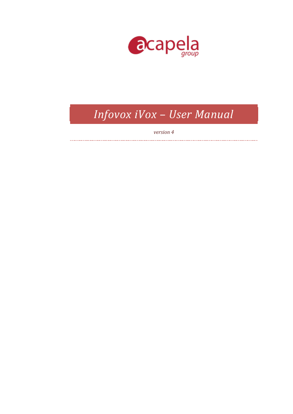

# *Infovox iVox – User Manual*

*version 4*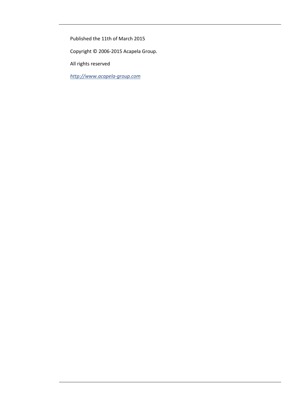Published the 11th of March 2015

Copyright © 2006-2015 Acapela Group.

All rights reserved

*[http://www.acapela-group.com](http://www.acapela-group.com/)*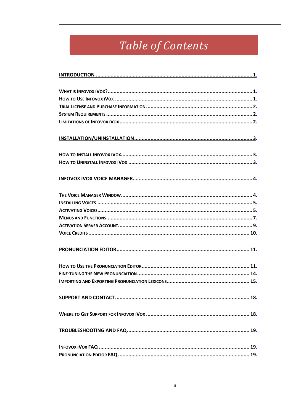# Table of Contents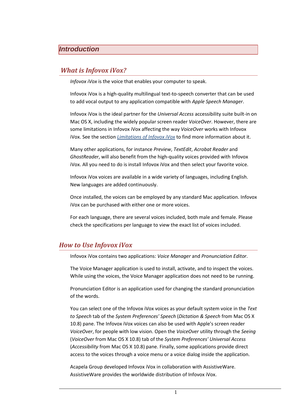# <span id="page-3-0"></span>*Introduction*

#### <span id="page-3-1"></span>*What is Infovox iVox?*

*Infovox iVox* is the voice that enables your computer to speak.

Infovox iVox is a high-quality multilingual text-to-speech converter that can be used to add vocal output to any application compatible with *Apple Speech Manager*.

Infovox iVox is the ideal partner for the *Universal Access* accessibility suite built-in on Mac OS X, including the widely popular screen reader *VoiceOver*. However, there are some limitations in Infovox iVox affecting the way *VoiceOver* works with Infovox iVox. See the section *[Limitations of Infovox iVox](#page-4-2)* to find more information about it.

Many other applications, for instance *Preview*, *TextEdit*, *Acrobat Reader* and *GhostReader*, will also benefit from the high-quality voices provided with Infovox iVox. All you need to do is install Infovox iVox and then select your favorite voice.

Infovox iVox voices are available in a wide variety of languages, including English. New languages are added continuously.

Once installed, the voices can be employed by any standard Mac application. Infovox iVox can be purchased with either one or more voices.

For each language, there are several voices included, both male and female. Please check the specifications per language to view the exact list of voices included.

# <span id="page-3-2"></span>*How to Use Infovox iVox*

Infovox iVox contains two applications: *Voice Manager* and *Pronunciation Editor*.

The Voice Manager application is used to install, activate, and to inspect the voices. While using the voices, the Voice Manager application does not need to be running.

Pronunciation Editor is an application used for changing the standard pronunciation of the words.

You can select one of the Infovox iVox voices as your default system voice in the *Text to Speech* tab of the *System Preferences' Speech* (*Dictation & Speech* from Mac OS X 10.8) pane. The Infovox iVox voices can also be used with Apple's screen reader *VoiceOver*, for people with low vision. Open the *VoiceOver* utility through the *Seeing* (*VoiceOver* from Mac OS X 10.8) tab of the *System Preferences' Universal Access*  (*Accessibility* from Mac OS X 10.8) pane. Finally, some applications provide direct access to the voices through a voice menu or a voice dialog inside the application.

Acapela Group developed Infovox iVox in collaboration with AssistiveWare. AssistiveWare provides the worldwide distribution of Infovox iVox.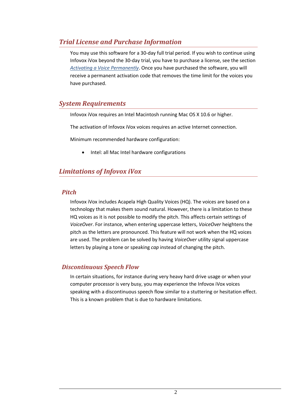# <span id="page-4-0"></span>*Trial License and Purchase Information*

You may use this software for a 30-day full trial period. If you wish to continue using Infovox iVox beyond the 30-day trial, you have to purchase a license, see the section *[Activating a Voice Permanently](#page-8-0)*. Once you have purchased the software, you will receive a permanent activation code that removes the time limit for the voices you have purchased.

# <span id="page-4-1"></span>*System Requirements*

Infovox iVox requires an Intel Macintosh running Mac OS X 10.6 or higher.

The activation of Infovox iVox voices requires an active Internet connection.

Minimum recommended hardware configuration:

Intel: all Mac Intel hardware configurations

# <span id="page-4-2"></span>*Limitations of Infovox iVox*

#### *Pitch*

Infovox iVox includes Acapela High Quality Voices (HQ). The voices are based on a technology that makes them sound natural. However, there is a limitation to these HQ voices as it is not possible to modify the pitch. This affects certain settings of *VoiceOver*. For instance, when entering uppercase letters, *VoiceOver* heightens the pitch as the letters are pronounced. This feature will not work when the HQ voices are used. The problem can be solved by having *VoiceOver* utility signal uppercase letters by playing a tone or speaking *cap* instead of changing the pitch.

# *Discontinuous Speech Flow*

In certain situations, for instance during very heavy hard drive usage or when your computer processor is very busy, you may experience the Infovox iVox voices speaking with a discontinuous speech flow similar to a stuttering or hesitation effect. This is a known problem that is due to hardware limitations.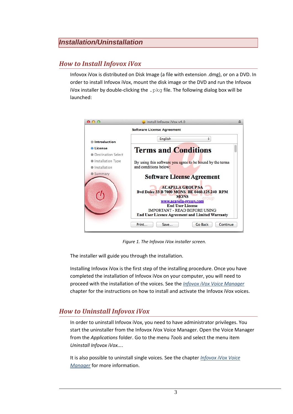# <span id="page-5-0"></span>*Installation/Uninstallation*

# <span id="page-5-1"></span>*How to Install Infovox iVox*

Infovox iVox is distributed on Disk Image (a file with extension .dmg), or on a DVD. In order to install Infovox iVox, mount the disk image or the DVD and run the Infovox iVox installer by double-clicking the  $.$   $pkq$  file. The following dialog box will be launched:



*Figure 1. The Infovox iVox installer screen.*

The installer will guide you through the installation.

Installing Infovox iVox is the first step of the installing procedure. Once you have completed the installation of Infovox iVox on your computer, you will need to proceed with the installation of the voices. See the *Infovox iVox [Voice Manager](#page-6-0)* chapter for the instructions on how to install and activate the Infovox iVox voices.

# <span id="page-5-2"></span>*How to Uninstall Infovox iVox*

In order to uninstall Infovox iVox, you need to have administrator privileges. You start the uninstaller from the Infovox iVox Voice Manager. Open the Voice Manager from the *Applications* folder. Go to the menu *Tools* and select the menu item *Uninstall Infovox iVox...*.

It is also possible to uninstall single voices. See the chapter *[Infovox iVox](#page-6-0) Voice [Manager](#page-6-0)* for more information.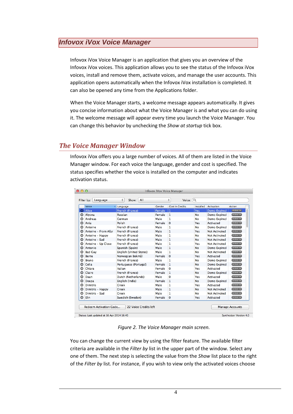# <span id="page-6-0"></span>*Infovox iVox Voice Manager*

Infovox iVox Voice Manager is an application that gives you an overview of the Infovox iVox voices. This application allows you to see the status of the Infovox iVox voices, install and remove them, activate voices, and manage the user accounts. This application opens automatically when the Infovox iVox installation is completed. It can also be opened any time from the Applications folder.

When the Voice Manager starts, a welcome message appears automatically. It gives you concise information about what the Voice Manager is and what you can do using it. The welcome message will appear every time you launch the Voice Manager. You can change this behavior by unchecking the *Show at startup* tick box.

# <span id="page-6-1"></span>*The Voice Manager Window*

Infovox iVox offers you a large number of voices. All of them are listed in the Voice Manager window. For each voice the language, gender and cost is specified. The status specifies whether the voice is installed on the computer and indicates activation status.

|           | Voice               | ▲ Language              | Gender | <b>Cost in Credits</b> | Installed | Activation           | Action               |
|-----------|---------------------|-------------------------|--------|------------------------|-----------|----------------------|----------------------|
|           | Alice               | French (France)         | Female | $\overline{1}$         | Yes       | <b>Demo Expired</b>  | $Action -v$          |
| o         | Alyona              | Russian                 | Female | $\mathbf{1}$           | <b>No</b> | Demo Expired         | $Action \rightarrow$ |
| Q         | Andreas             | German                  | Male   | 1                      | <b>No</b> | Demo Expired         | $Action -$           |
| O         | Ania                | Polish                  | Female | $\mathbf 0$            | Yes       | Activated            | $Action -$           |
| Q         | Antoine             | French (France)         | Male   | 1                      | No        | Demo Expired         | $Action -$           |
| o         | Antoine - From Afar | French (France)         | Male   | $\mathbf{1}$           | Yes       | <b>Not Activated</b> | $Action -v$          |
| Q         | Antoine - Happy     | French (France)         | Male   | $\mathbf{1}$           | <b>No</b> | Not Activated        | Action v             |
| Q         | Antoine - Sad       | French (France)         | Male   | $\mathbf{1}$           | <b>No</b> | <b>Not Activated</b> | $Action -$           |
| o         | Antoine - Up Close  | French (France)         | Male   | 1                      | Yes       | Not Activated        | $Action -v$          |
| Q         | Antonio             | Spanish (Spain)         | Male   | 1                      | <b>No</b> | Demo Expired         | $Action \rightarrow$ |
| o         | <b>Bad Guv</b>      | English (United States) | Male   | $\mathbf{1}$           | <b>No</b> | <b>Not Activated</b> | $Action -v$          |
| Q         | <b>Bente</b>        | Norwegian Bokmål        | Female | $\mathbf 0$            | Yes       | Activated            | $Action \rightarrow$ |
| Q         | <b>Bruno</b>        | French (France)         | Male   | 1                      | <b>No</b> | Demo Expired         | $Action -$           |
| $\bullet$ | Celia               | Portuguese (Portugal)   | Female | $\mathbf{1}$           | <b>No</b> | Demo Expired         | $Action -$           |
| Q         | Chiara              | Italian                 | Female | $\mathbf 0$            | Yes       | Activated            | Action v             |
| Q         | Claire              | French (France)         | Female | $\mathbf{1}$           | <b>No</b> | Demo Expired         | $Action -$           |
| Q         | Daan                | Dutch (Netherlands)     | Male   | 0                      | Yes       | <b>Activated</b>     | $Action \rightarrow$ |
| Q         | Deepa               | English (India)         | Female | $\mathbf{1}$           | <b>No</b> | Demo Expired         | $Action -$           |
| Q         | <b>Dimitris</b>     | <b>Greek</b>            | Male   | 1                      | Yes       | <b>Activated</b>     | $Action \rightarrow$ |
| Q         | Dimitris - Happy    | Greek                   | Male   | $\mathbf{1}$           | <b>No</b> | Not Activated        | $Action -$           |
| Q         | Dimitris - Sad      | <b>Greek</b>            | Male   | $\mathbf{1}$           | <b>No</b> | <b>Not Activated</b> | $Action -$           |
| Q         | Elin                | Swedish (Sweden)        | Female | $\mathbf 0$            | Yes       | <b>Activated</b>     | $Action -v$          |

*Figure 2. The Voice Manager main screen.*

You can change the current view by using the filter feature. The available filter criteria are available in the *Filter by* list in the upper part of the window. Select any one of them. The next step is selecting the value from the *Show* list place to the right of the *Filter by* list. For instance, if you wish to view only the activated voices choose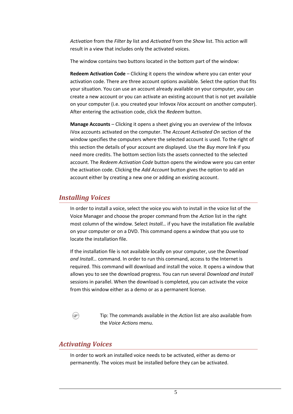*Activation* from the *Filter by* list and *Activated* from the *Show* list. This action will result in a view that includes only the activated voices.

The window contains two buttons located in the bottom part of the window:

**Redeem Activation Code** – Clicking it opens the window where you can enter your activation code. There are three account options available. Select the option that fits your situation. You can use an account already available on your computer, you can create a new account or you can activate an existing account that is not yet available on your computer (i.e. you created your Infovox iVox account on another computer). After entering the activation code, click the *Redeem* button.

**Manage Accounts** – Clicking it opens a sheet giving you an overview of the Infovox iVox accounts activated on the computer. The *Account Activated On* section of the window specifies the computers where the selected account is used. To the right of this section the details of your account are displayed. Use the *Buy more* link if you need more credits. The bottom section lists the assets connected to the selected account. The *Redeem Activation Code* button opens the window were you can enter the activation code. Clicking the *Add Account* button gives the option to add an account either by creating a new one or adding an existing account.

# <span id="page-7-0"></span>*Installing Voices*

In order to install a voice, select the voice you wish to install in the voice list of the Voice Manager and choose the proper command from the *Action* list in the right most column of the window. Select *Install…* if you have the installation file available on your computer or on a DVD. This command opens a window that you use to locate the installation file.

If the installation file is not available locally on your computer, use the *Download and Install…* command. In order to run this command, access to the Internet is required. This command will download and install the voice. It opens a window that allows you to see the download progress. You can run several *Download and Install* sessions in parallel. When the download is completed, you can activate the voice from this window either as a demo or as a permanent license.



Tip: The commands available in the *Action* list are also available from the *Voice Actions* menu.

# <span id="page-7-1"></span>*Activating Voices*

In order to work an installed voice needs to be activated, either as demo or permanently. The voices must be installed before they can be activated.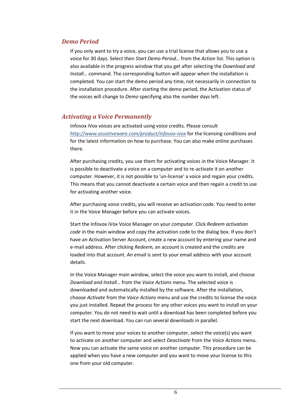#### *Demo Period*

If you only want to try a voice, you can use a trial license that allows you to use a voice for 30 days. Select then *Start Demo Period…* from the *Action* list. This option is also available in the progress window that you get after selecting the *Download and Install…* command. The corresponding button will appear when the installation is completed. You can start the demo period any time, not necessarily in connection to the installation procedure. After starting the demo period, the Activation status of the voices will change to *Demo* specifying also the number days left.

#### <span id="page-8-0"></span>*Activating a Voice Permanently*

Infovox iVox voices are activated using voice credits. Please consult *<http://www.assistiveware.com/product/infovox-ivox>* for the licensing conditions and for the latest information on how to purchase. You can also make online purchases there.

After purchasing credits, you use them for activating voices in the Voice Manager. It is possible to deactivate a voice on a computer and to re-activate it on another computer. However, it is not possible to 'un-license' a voice and regain your credits. This means that you cannot deactivate a certain voice and then regain a credit to use for activating another voice.

After purchasing voice credits, you will receive an activation code. You need to enter it in the Voice Manager before you can activate voices.

Start the Infovox iVox Voice Manager on your computer. Click *Redeem activation code* in the main window and copy the activation code to the dialog box. If you don't have an Activation Server Account, create a new account by entering your name and e-mail address. After clicking *Redeem,* an account is created and the credits are loaded into that account. An email is sent to your email address with your account details.

In the Voice Manager main window, select the voice you want to install, and choose *Download and Install…* from the *Voice Actions* menu. The selected voice is downloaded and automatically installed by the software. After the installation, choose *Activate* from the *Voice Actions* menu and use the credits to license the voice you just installed. Repeat the process for any other voices you want to install on your computer. You do not need to wait until a download has been completed before you start the next download. You can run several downloads in parallel.

If you want to move your voices to another computer, select the voice(s) you want to activate on another computer and select *Deactivate* from the *Voice Actions* menu. Now you can activate the same voice on another computer. This procedure can be applied when you have a new computer and you want to move your license to this one from your old computer.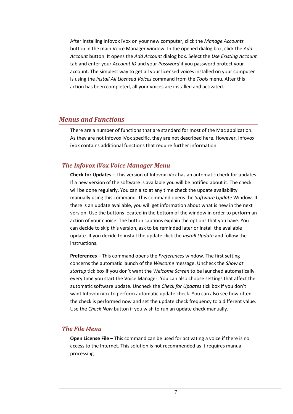After installing Infovox iVox on your new computer, click the *Manage Accounts* button in the main Voice Manager window. In the opened dialog box, click the *Add Account* button. It opens the *Add Account* dialog box. Select the *Use Existing Account* tab and enter your *Account ID* and your *Password* if you password protect your account. The simplest way to get all your licensed voices installed on your computer is using the *Install All Licensed Voices* command from the *Tools* menu. After this action has been completed, all your voices are installed and activated.

#### <span id="page-9-0"></span>*Menus and Functions*

There are a number of functions that are standard for most of the Mac application. As they are not Infovox iVox specific, they are not described here. However, Infovox iVox contains additional functions that require further information.

#### *The Infovox iVox Voice Manager Menu*

**Check for Updates** – This version of Infovox iVox has an automatic check for updates. If a new version of the software is available you will be notified about it. The check will be done regularly. You can also at any time check the update availability manually using this command. This command opens the *Software Update* Window. If there is an update available, you will get information about what is new in the next version. Use the buttons located in the bottom of the window in order to perform an action of your choice. The button captions explain the options that you have. You can decide to skip this version, ask to be reminded later or install the available update. If you decide to install the update click the *Install Update* and follow the instructions.

**Preferences** – This command opens the *Preferences* window. The first setting concerns the automatic launch of the *Welcome* message. Uncheck the *Show at startup* tick box if you don't want the *Welcome Screen* to be launched automatically every time you start the Voice Manager. You can also choose settings that affect the automatic software update. Uncheck the *Check for Updates* tick box if you don't want Infovox iVox to perform automatic update check. You can also see how often the check is performed now and set the update check frequency to a different value. Use the *Check Now* button if you wish to run an update check manually.

#### *The File Menu*

**Open License File** – This command can be used for activating a voice if there is no access to the Internet. This solution is not recommended as it requires manual processing.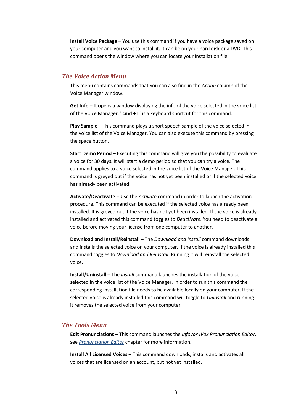**Install Voice Package** – You use this command if you have a voice package saved on your computer and you want to install it. It can be on your hard disk or a DVD. This command opens the window where you can locate your installation file.

## *The Voice Action Menu*

This menu contains commands that you can also find in the *Action* column of the Voice Manager window.

**Get Info** – It opens a window displaying the info of the voice selected in the voice list of the Voice Manager. "**cmd + I**" is a keyboard shortcut for this command.

**Play Sample** – This command plays a short speech sample of the voice selected in the voice list of the Voice Manager. You can also execute this command by pressing the space button.

**Start Demo Period** – Executing this command will give you the possibility to evaluate a voice for 30 days. It will start a demo period so that you can try a voice. The command applies to a voice selected in the voice list of the Voice Manager. This command is greyed out if the voice has not yet been installed or if the selected voice has already been activated.

**Activate/Deactivate** – Use the *Activate* command in order to launch the activation procedure. This command can be executed if the selected voice has already been installed. It is greyed out if the voice has not yet been installed. If the voice is already installed and activated this command toggles to *Deactivate*. You need to deactivate a voice before moving your license from one computer to another.

**Download and Install/Reinstall** – The *Download and Install* command downloads and installs the selected voice on your computer. If the voice is already installed this command toggles to *Download and Reinstall*. Running it will reinstall the selected voice.

**Install/Uninstall** – The *Install* command launches the installation of the voice selected in the voice list of the Voice Manager. In order to run this command the corresponding installation file needs to be available locally on your computer. If the selected voice is already installed this command will toggle to *Uninstall* and running it removes the selected voice from your computer.

#### *The Tools Menu*

**Edit Pronunciations** – This command launches the *Infovox iVox Pronunciation Editor*, see *[Pronunciation Editor](#page-13-0)* chapter for more information.

**Install All Licensed Voices** – This command downloads, installs and activates all voices that are licensed on an account, but not yet installed.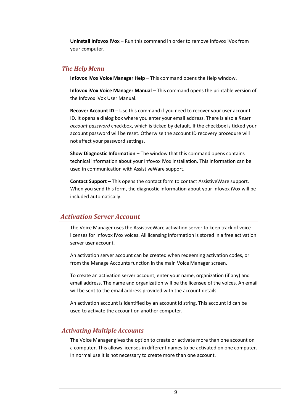**Uninstall Infovox iVox** – Run this command in order to remove Infovox iVox from your computer.

#### *The Help Menu*

**Infovox iVox Voice Manager Help** – This command opens the Help window.

**Infovox iVox Voice Manager Manual** – This command opens the printable version of the Infovox iVox User Manual.

**Recover Account ID** – Use this command if you need to recover your user account ID. It opens a dialog box where you enter your email address. There is also a *Reset account password* checkbox, which is ticked by default. If the checkbox is ticked your account password will be reset. Otherwise the account ID recovery procedure will not affect your password settings.

**Show Diagnostic Information** – The window that this command opens contains technical information about your Infovox iVox installation. This information can be used in communication with AssistiveWare support.

**Contact Support** – This opens the contact form to contact AssistiveWare support. When you send this form, the diagnostic information about your Infovox iVox will be included automatically.

# <span id="page-11-0"></span>*Activation Server Account*

The Voice Manager uses the AssistiveWare activation server to keep track of voice licenses for Infovox iVox voices. All licensing information is stored in a free activation server user account.

An activation server account can be created when redeeming activation codes, or from the Manage Accounts function in the main Voice Manager screen.

To create an activation server account, enter your name, organization (if any) and email address. The name and organization will be the licensee of the voices. An email will be sent to the email address provided with the account details.

An activation account is identified by an account id string. This account id can be used to activate the account on another computer.

# *Activating Multiple Accounts*

The Voice Manager gives the option to create or activate more than one account on a computer. This allows licenses in different names to be activated on one computer. In normal use it is not necessary to create more than one account.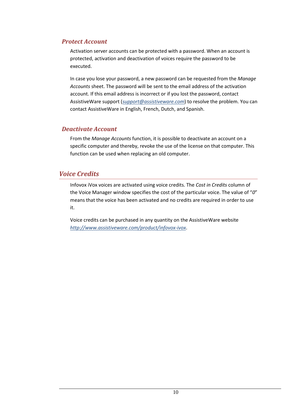#### *Protect Account*

Activation server accounts can be protected with a password. When an account is protected, activation and deactivation of voices require the password to be executed.

In case you lose your password, a new password can be requested from the *Manage Accounts* sheet. The password will be sent to the email address of the activation account. If this email address is incorrect or if you lost the password, contact AssistiveWare support (*[support@assistiveware.com](mailto:support@assistiveware.com)*) to resolve the problem. You can contact AssistiveWare in English, French, Dutch, and Spanish.

#### *Deactivate Account*

From the *Manage Accounts* function, it is possible to deactivate an account on a specific computer and thereby, revoke the use of the license on that computer. This function can be used when replacing an old computer.

# <span id="page-12-0"></span>*Voice Credits*

Infovox iVox voices are activated using voice credits. The *Cost in Credits* column of the Voice Manager window specifies the cost of the particular voice. The value of "*0*" means that the voice has been activated and no credits are required in order to use it.

Voice credits can be purchased in any quantity on the AssistiveWare website *<http://www.assistiveware.com/product/infovox-ivox>*.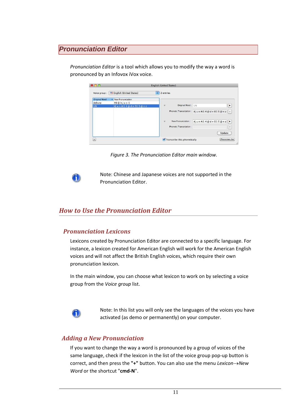# <span id="page-13-0"></span>*Pronunciation Editor*

*Pronunciation Editor* is a tool which allows you to modify the way a word is pronounced by an Infovox iVox voice.

| Voice group:         | <b>English (United States)</b> | ÷<br>2 entries                                                             |                   |
|----------------------|--------------------------------|----------------------------------------------------------------------------|-------------------|
| <b>Original Word</b> | New Pronunciation              |                                                                            |                   |
| debusy               | #d@bjusi1                      |                                                                            |                   |
| <b>UN</b>            | #jun Al1 4 @ d n El1 5 @ n z   | Original Word: UN                                                          | ▶                 |
|                      |                                | Phonetic Transcription : #j u n Al1 4 @ d n El1 S @ n z $\vert \downarrow$ |                   |
|                      |                                | #jun Al1 4 @ d n El1 S @ n z $\triangleright$<br>New Pronunciation:<br>v   |                   |
|                      |                                | Phonetic Transcription :                                                   | $\ddot{\uparrow}$ |
|                      |                                |                                                                            |                   |

*Figure 3. The Pronunciation Editor main window.*



Note: Chinese and Japanese voices are not supported in the Pronunciation Editor.

# <span id="page-13-1"></span>*How to Use the Pronunciation Editor*

#### *Pronunciation Lexicons*

Lexicons created by Pronunciation Editor are connected to a specific language. For instance, a lexicon created for American English will work for the American English voices and will not affect the British English voices, which require their own pronunciation lexicon.

In the main window, you can choose what lexicon to work on by selecting a voice group from the *Voice group* list.



Note: In this list you will only see the languages of the voices you have activated (as demo or permanently) on your computer.

#### *Adding a New Pronunciation*

If you want to change the way a word is pronounced by a group of voices of the same language, check if the lexicon in the list of the voice group pop-up button is correct, and then press the "+" button. You can also use the menu Lexicon->New *Word* or the shortcut "**cmd-N**".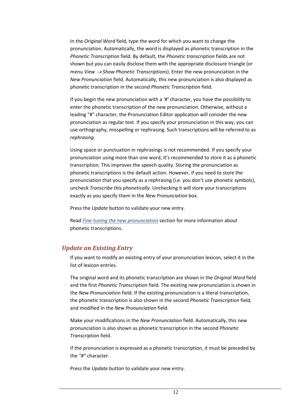In the *Original Word* field, type the word for which you want to change the pronunciation. Automatically, the word is displayed as phonetic transcription in the *Phonetic Transcription* field. By default, the *Phonetic transcription* fields are not shown but you can easily disclose them with the appropriate disclosure triangle (or menu *View Show Phonetic Transcriptions*). Enter the new pronunciation in the *New Pronunciation* field. Automatically, this new pronunciation is also displayed as phonetic transcription in the second *Phonetic Transcription* field.

If you begin the new pronunciation with a *'#'* character, you have the possibility to enter the phonetic transcription of the new pronunciation. Otherwise, without a leading "#" character, the Pronunciation Editor application will consider the new pronunciation as regular text. If you specify your pronunciation in this way, you can use orthography, misspelling or rephrasing. Such transcriptions will be referred to as *rephrasing*.

Using space or punctuation in rephrasings is not recommended. If you specify your pronunciation using more than one word, it's recommended to store it as a phonetic transcription. This improves the speech quality. Storing the pronunciation as phonetic transcriptions is the default action. However, if you need to store the pronunciation that you specify as a rephrasing (i.e. you don't use phonetic symbols), uncheck *Transcribe this phonetically*. Unchecking it will store your transcriptions exactly as you specify them in the *New Pronunciation* box.

Press the *Update* button to validate your new entry.

Read *[Fine-tuning the new pronunciation](#page-16-1)* section for more information about phonetic transcriptions.

# *Update an Existing Entry*

If you want to modify an existing entry of your pronunciation lexicon, select it in the list of lexicon entries.

The original word and its phonetic transcription are shown in the *Original Word* field and the first *Phonetic Transcription* field. The existing new pronunciation is shown in the *New Pronunciation* field. If the existing pronunciation is a literal transcription, the phonetic transcription is also shown in the second *Phonetic Transcription* field, and modified in the *New Pronunciation* field.

Make your modifications in the *New Pronunciation* field. Automatically, this new pronunciation is also shown as phonetic transcription in the second *Phonetic Transcription* field.

If the pronunciation is expressed as a phonetic transcription, it must be preceded by the *"#"* character.

Press the *Update* button to validate your new entry.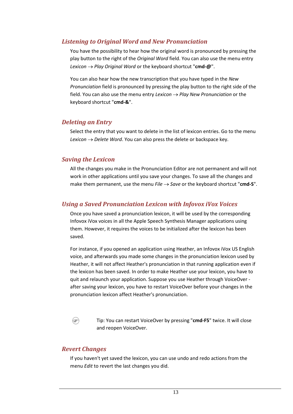#### <span id="page-15-0"></span>*Listening to Original Word and New Pronunciation*

You have the possibility to hear how the original word is pronounced by pressing the play button to the right of the *Original Word* field. You can also use the menu entry *Lexicon → Play Original Word* or the keyboard shortcut "**cmd-@**".

You can also hear how the new transcription that you have typed in the *New Pronunciation* field is pronounced by pressing the play button to the right side of the field. You can also use the menu entry *Lexicon*  $\rightarrow$  *Play New Pronunciation* or the keyboard shortcut "**cmd-&**".

#### *Deleting an Entry*

Select the entry that you want to delete in the list of lexicon entries. Go to the menu *Lexicon*  $\rightarrow$  *Delete Word*. You can also press the delete or backspace key.

#### *Saving the Lexicon*

All the changes you make in the Pronunciation Editor are not permanent and will not work in other applications until you save your changes. To save all the changes and make them permanent, use the menu  $File \rightarrow Save$  or the keyboard shortcut "cmd-S".

## *Using a Saved Pronunciation Lexicon with Infovox iVox Voices*

Once you have saved a pronunciation lexicon, it will be used by the corresponding Infovox iVox voices in all the Apple Speech Synthesis Manager applications using them. However, it requires the voices to be initialized after the lexicon has been saved.

For instance, if you opened an application using Heather, an Infovox iVox US English voice, and afterwards you made some changes in the pronunciation lexicon used by Heather, it will not affect Heather's pronunciation in that running application even if the lexicon has been saved. In order to make Heather use your lexicon, you have to quit and relaunch your application. Suppose you use Heather through VoiceOver after saving your lexicon, you have to restart VoiceOver before your changes in the pronunciation lexicon affect Heather's pronunciation.

@

Tip: You can restart VoiceOver by pressing "**cmd-F5**" twice. It will close and reopen VoiceOver.

# *Revert Changes*

If you haven't yet saved the lexicon, you can use undo and redo actions from the menu *Edit* to revert the last changes you did.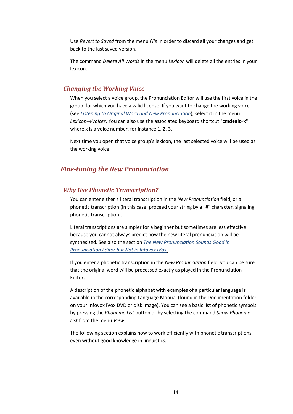Use *Revert to Saved* from the menu *File* in order to discard all your changes and get back to the last saved version.

The command *Delete All Words* in the menu *Lexicon* will delete all the entries in your lexicon.

# *Changing the Working Voice*

When you select a voice group, the Pronunciation Editor will use the first voice in the group for which you have a valid license. If you want to change the working voice (see *[Listening to Original Word and New Pronunciation](#page-15-0)*), select it in the menu *LexiconVoices*. You can also use the associated keyboard shortcut "**cmd+alt+x**" where x is a voice number, for instance 1, 2, 3.

Next time you open that voice group's lexicon, the last selected voice will be used as the working voice.

# <span id="page-16-1"></span><span id="page-16-0"></span>*Fine-tuning the New Pronunciation*

# *Why Use Phonetic Transcription?*

You can enter either a literal transcription in the *New Pronunciation* field, or a phonetic transcription (in this case, proceed your string by a "#" character, signaling phonetic transcription).

Literal transcriptions are simpler for a beginner but sometimes are less effective because you cannot always predict how the new literal pronunciation will be synthesized. See also the section *[The New Pronunciation Sounds Good in](#page-21-3)  Pronunciation [Editor but Not in Infovox iVox](#page-21-3)[.](#page-21-4)*

If you enter a phonetic transcription in the *New Pronunciation* field, you can be sure that the original word will be processed exactly as played in the Pronunciation Editor.

A description of the phonetic alphabet with examples of a particular language is available in the corresponding Language Manual (found in the Documentation folder on your Infovox iVox DVD or disk image). You can see a basic list of phonetic symbols by pressing the *Phoneme List* button or by selecting the command *Show Phoneme List* from the menu *View*.

The following section explains how to work efficiently with phonetic transcriptions, even without good knowledge in linguistics.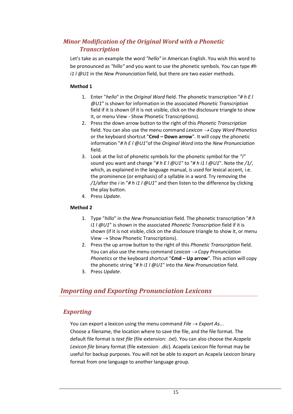# *Minor Modification of the Original Word with a Phonetic Transcription*

Let's take as an example the word *"hello"* in American English. You wish this word to be pronounced as *"hillo"* and you want to use the phonetic symbols. You can type *#h i1 l @U1* in the *New Pronunciation* field, but there are two easier methods.

#### **Method 1**

- 1. Enter "*hello*" in the *Original Word* field. The phonetic transcription "*# h E l @U1*" is shown for information in the associated *Phonetic Transcription* field if it is shown (if it is not visible, click on the disclosure triangle to show it, or menu View - Show Phonetic Transcriptions).
- 2. Press the down arrow button to the right of this *Phonetic Transcription* field. You can also use the menu command *Lexicon Copy Word Phonetics* or the keyboard shortcut "**Cmd – Down arrow**". It will copy the phonetic information "*# h E l @U1*"of the *Original Word* into the *New Pronunciation* field.
- 3. Look at the list of phonetic symbols for the phonetic symbol for the *"i"* sound you want and change "*# h E l @U1*" to "*# h i1 l @U1*". Note the */1/*, which, as explained in the language manual, is used for lexical accent, i.e. the prominence (or emphasis) of a syllable in a word. Try removing the */1/*after the *i* in "*# h i1 l @U1*" and then listen to the difference by clicking the play button.
- 4. Press *Update*.

#### **Method 2**

- 1. Type "*hillo*" in the *New Pronunciation* field. The phonetic transcription "*# h i1 l @U1*" is shown in the associated *Phonetic Transcription* field if it is shown (if it is not visible, click on the disclosure triangle to show it, or menu View  $\rightarrow$  Show Phonetic Transcriptions).
- 2. Press the up arrow button to the right of this *Phonetic Transcription* field. You can also use the menu command *Lexicon*  $\rightarrow$  Copy Pronunciation *Phonetics* or the keyboard shortcut "**Cmd – Up arrow**". This action will copy the phonetic string "*# h i1 l @U1*" into the *New Pronunciation* field.
- 3. Press *Update*.

# <span id="page-17-0"></span>*Importing and Exporting Pronunciation Lexicons*

# <span id="page-17-1"></span>*Exporting*

You can export a lexicon using the menu command  $File \rightarrow Expert$  As... Choose a filename, the location where to save the file, and the file format. The default file format is *text file* (file extension: *.txt*). You can also choose the *Acapela Lexicon file* binary format (file extension: *.dic*). Acapela Lexicon file format may be useful for backup purposes. You will not be able to export an Acapela Lexicon binary format from one language to another language group.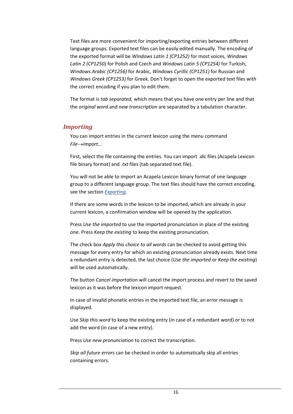Text files are more convenient for importing/exporting entries between different language groups. Exported text files can be easily edited manually. The encoding of the exported format will be *Windows Latin 1 (CP1252)* for most voices, *Windows Latin 2 (CP1250)* for Polish and Czech and *Windows Latin 5 (CP1254)* for Turkish, *Windows Arabic (CP1256)* for Arabic, *Windows Cyrillic (CP1251)* for Russian and *Windows Greek (CP1253)* for Greek. Don't forget to open the exported text files with the correct encoding if you plan to edit them.

The format is *tab separated,* which means that you have one entry per line and that the *original word* and *new transcription* are separated by a tabulation character.

#### *Importing*

You can import entries in the current lexicon using the menu command *File→Import...* 

First, select the file containing the entries. You can import *.dic* files (Acapela Lexicon file binary format) and *.txt* files (tab separated text file).

You will not be able to import an Acapela Lexicon binary format of one language group to a different language group. The text files should have the correct encoding, see the section *[Exporting](#page-17-1)*.

If there are some words in the lexicon to be imported, which are already in your current lexicon, a confirmation window will be opened by the application.

Press *Use the imported* to use the imported pronunciation in place of the existing one. Press *Keep the existing* to keep the existing pronunciation.

The check box *Apply this choice to all words* can be checked to avoid getting this message for every entry for which an existing pronunciation already exists. Next time a redundant entry is detected, the last choice (*Use the imported* or *Keep the existing*) will be used automatically.

The button *Cancel importation* will cancel the import process and revert to the saved lexicon as it was before the lexicon import request.

In case of invalid phonetic entries in the imported text file, an error message is displayed.

Use *Skip this word* to keep the existing entry (in case of a redundant word) or to not add the word (in case of a new entry).

Press *Use new pronunciation* to correct the transcription.

*Skip all future errors* can be checked in order to automatically skip all entries containing errors.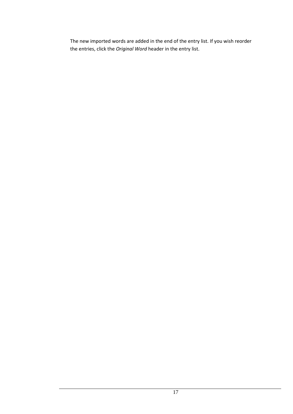The new imported words are added in the end of the entry list. If you wish reorder the entries, click the *Original Word* header in the entry list.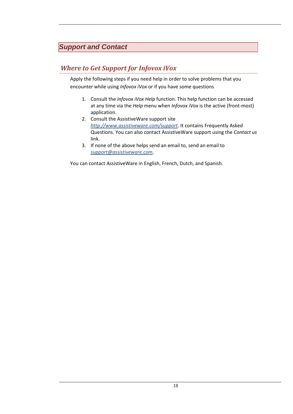# <span id="page-20-0"></span>*Support and Contact*

# <span id="page-20-1"></span>*Where to Get Support for Infovox iVox*

Apply the following steps if you need help in order to solve problems that you encounter while using *Infovox iVox* or if you have some questions

- 1. Consult the *Infovox iVox Help* function. This help function can be accessed at any time via the *Help* menu when *Infovox iVox* is the active (front-most) application.
- 2. Consult the AssistiveWare support site *<http://www.assistiveware.com/support>*. It contains Frequently Asked Questions. You can also contact AssistiveWare support using the *Contact us* link.
- 3. If none of the above helps send an email to, send an email to *[support@assistiveware.com](mailto:iVox@assistiveware.com)*.

You can contact AssistiveWare in English, French, Dutch, and Spanish.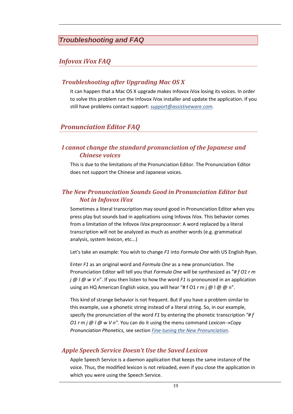# <span id="page-21-0"></span>*Troubleshooting and FAQ*

# <span id="page-21-1"></span>*Infovox iVox FAQ*

#### *Troubleshooting after Upgrading Mac OS X*

It can happen that a Mac OS X upgrade makes Infovox iVox losing its voices. In order to solve this problem run the Infovox iVox installer and update the application. If you still have problems contact support: *[support@assistiveware.com](mailto:support@assistiveware.com)*.

# <span id="page-21-2"></span>*Pronunciation Editor FAQ*

## <span id="page-21-4"></span>*I cannot change the standard pronunciation of the Japanese and Chinese voices*

This is due to the limitations of the Pronunciation Editor. The Pronunciation Editor does not support the Chinese and Japanese voices.

#### <span id="page-21-3"></span>*The New Pronunciation Sounds Good in Pronunciation Editor but Not in Infovox iVox*

Sometimes a literal transcription may sound good in Pronunciation Editor when you press play but sounds bad in applications using Infovox iVox. This behavior comes from a limitation of the Infovox iVox preprocessor: A word replaced by a literal transcription will not be analyzed as much as another words (e.g. grammatical analysis, system lexicon, etc...)

Let's take an example: You wish to change *F1* into *Formula One* with US English Ryan.

Enter *F1* as an original word and *Formula One* as a new pronunciation. The Pronunciation Editor will tell you that *Formula One* will be synthesized as "*# f O1 r m j @ l @ w V n*". If you then listen to how the word *F1* is pronounced in an application using an HQ American English voice, you will hear "# f O1 r m j @ l @ @ n".

This kind of strange behavior is not frequent. But if you have a problem similar to this example, use a phonetic string instead of a literal string. So, in our example, specify the pronunciation of the word *F1* by entering the phonetic transcription *"# f O1 r m j @ l @ w V n<sup>"</sup>. You can do it using the menu command Lexicon→Copy Pronunciation Phonetics*, see section *[Fine-tuning the New Pronunciation](#page-16-0)*.

# *Apple Speech Service Doesn't Use the Saved Lexicon*

Apple Speech Service is a daemon application that keeps the same instance of the voice. Thus, the modified lexicon is not reloaded, even if you close the application in which you were using the Speech Service.